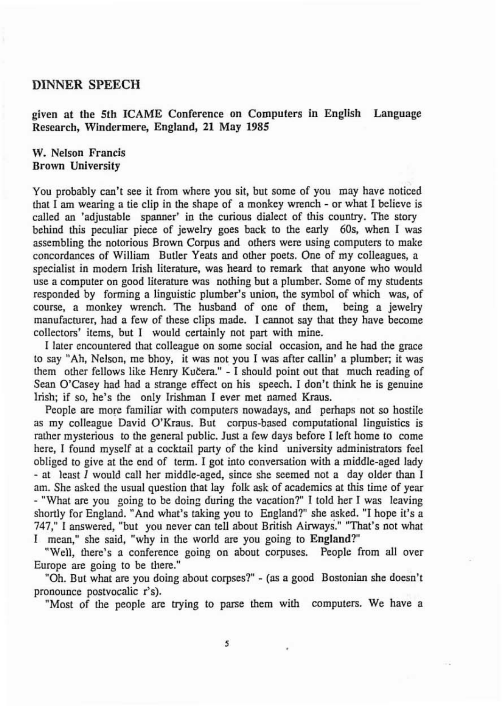## **DINNER SPEECH**

given at the 5th ICAME Conference on Computers in Engllsh Language Research, Windermere, England, 21 May 1985

## W. Nelson Francis Brown University

You probably can't see it from where you sit, but some of you may have noticed that I am wearing a tie clip in the shape of a monkey wrench - or what I believe is called an 'adjustable spanner' in the curious dialect of this country. The story behind this peculiar piece of jewelry goes back to the early **60%** when I was assembling the notorious Brown Corpus and others were using computers to make concordances of William Butler Yeats and other poets. One of my colleagues, a specialist in modem Irish literature, was heard to remark that anyone who would use a computer on good literature was nothing but a plumber. Some of my students responded by forming a linguistic plumber's union, the symbol of which was, of course, a monkey wrench. The husband of one of them, being a jewelry manufacturer, had a few of these clips made. I cannot say that they have become collectors' items, but I would certainly not part with mine.

I later encountered that colleague on some social occasion, and he had the grace to say "Ah, Nelson, me bhoy, it was not you I was after callin' a plumber; it was them other fellows like Henry Kučera." - I should point out that much reading of Sean O'Casey had had a strange effect on his speech. I don't **think** he is genuine Irish; if so, he's the only Irishman I ever met named Kraus.

People are more familiar with computers nowadays, and perhaps not so hostile as my colleague David O'Kraus. But corpus-based computational linguistics is rather mysterious to the general public. Just a few days before I left home to come here, I found myself at a cocktail party of the kind university administrators feel obliged to give at the end of term. I got into conversation with a middle-aged lady - at least I would call her middle-aged, since she seemed not a day older than I am. She asked the usual question that lay folk ask of academics at this time of year - "What are you going to be doing during the vacation?" I told her I was leaving shortly for England. "And what's taking you to England?" she asked. "I hope it's a 747," 1 answered, "but you never can tell about British Airways." "That's not what I mean," she said, "why in the world **are** you going to England?"

"Well, there's a conference going on about corpuses. People from **all** over Europe **are** going to be there."

"Oh. But what are you doing about corpses?" - (as a good Bostonian she doesn't pronounce postvocalic r's).

"Most of the people **are** trying to parse them with computers. We have a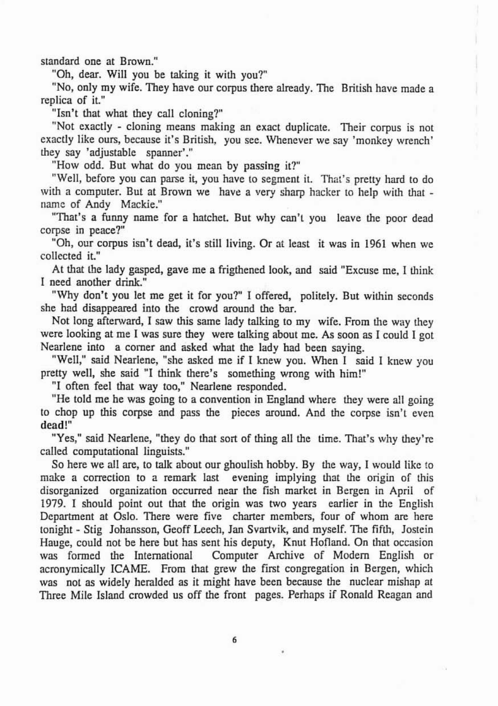standard one at Brown."

"Oh, dear. Will you be taking it with you?"

"No, only my wife. They have our corpus there already. The British have made a replica of it."

"Isn't that what they call cloning?"

"Not exactly - cloning means making an exact duplicate. Their corpus is not exactly like ours, because it's British, you see. Whenever we say 'monkey wrench' they say 'adjustable spanner'."

"How odd. But what do you mean by passlng it?"

"Well, before you can parse it, you have to segment it. That's pretty hard to do with a computer. But at Brown we have a very sharp hacker to help with that name of Andy Mackie."

"That's a funny name for a hatchet. But why can't you leave the poor dead corpse in peace?"

"Oh, our corpus isn't dead, it's still living. Or at least it was in 1961 when we collected it."

At that the lady gasped, gave me a frigthened look, and said "Excuse me, I think I need another drink"

"Why don't you let me get it for you?" I offered, politely. But within seconds she had disappeared into the crowd around the bar.

Not long afterward, I saw this same lady talking to my wife. From the way they were looking at me I was sure they were talking about me. **As** soon as I could I got Nearlene into a corner and asked what the lady had been saying.

"Well," said Nearlene, "she asked me if I knew you. When I said I knew you pretty well, she said "I think there's something wrong with him!"

"I often feel that way too," Nearlene responded.

"He told me he was going to a convention in England where they were all going to chop up this corpse and pass the pieces around. And the corpse isn't even dead!"

"Yes," said Nearlene, "they do that sort of thing all the time. That's why they're called computational linguists."

So here we all are, to talk about our ghoulish hobby. By the way, **1** would like to make a correction to a remark last evening implying that the origin of this disorganized organization occurred near the fish market in Bergen in April of 1979. I should point out that the origin was two years earlier in the English Department at Oslo. There were five charter members, four of whom are here tonight - Stig Johansson, Geoff Leech, Jan Svartvik, and myself. The fifth, Jostein Hauge, could not be here but has sent his deputy, Knut Hofland. On that occasion was formed the International Computer Archive of Modem English or acronymically ICAME. From that grew the first congregation in Bergen, which was not as widely heralded as it might have been because the nuclear mishap at Three Mile Island crowded us off the front pages. Perhaps if Ronald Reagan and

6